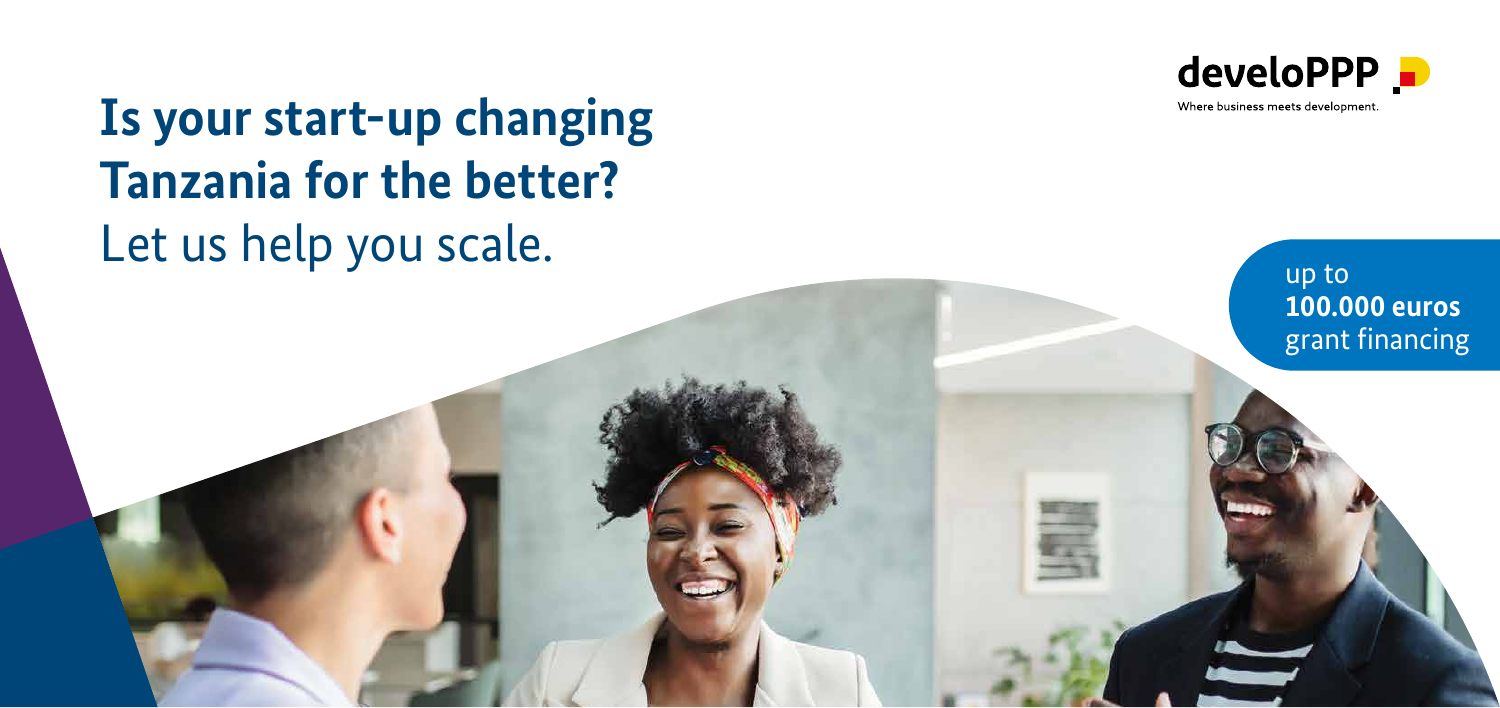

Where business meets development.

## **Is your start-up changing Tanzania for the better?** Let us help you scale.

up to **100.000 euros**  grant financing